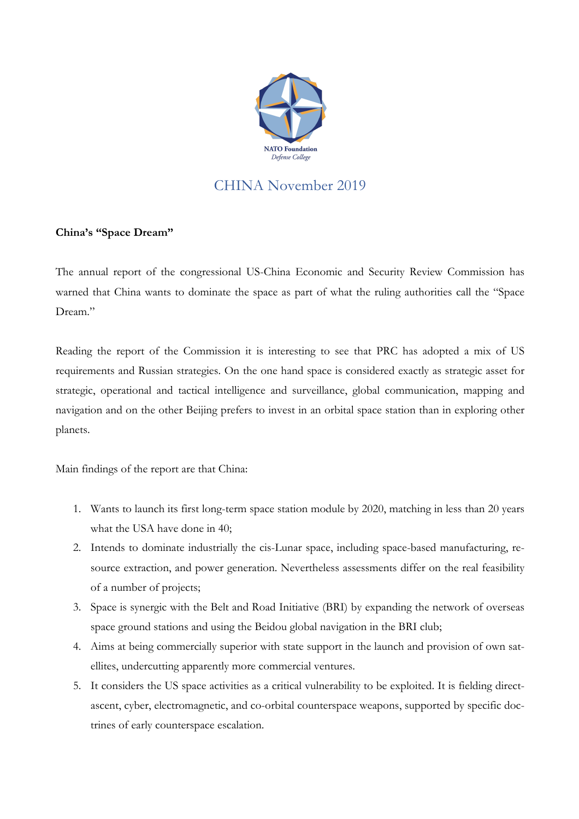

## CHINA November 2019

## **China's "Space Dream"**

The annual report of the congressional US-China Economic and Security Review Commission has warned that China wants to dominate the space as part of what the ruling authorities call the "Space Dream."

Reading the report of the Commission it is interesting to see that PRC has adopted a mix of US requirements and Russian strategies. On the one hand space is considered exactly as strategic asset for strategic, operational and tactical intelligence and surveillance, global communication, mapping and navigation and on the other Beijing prefers to invest in an orbital space station than in exploring other planets.

Main findings of the report are that China:

- 1. Wants to launch its first long-term space station module by 2020, matching in less than 20 years what the USA have done in 40;
- 2. Intends to dominate industrially the cis-Lunar space, including space-based manufacturing, resource extraction, and power generation. Nevertheless assessments differ on the real feasibility of a number of projects;
- 3. Space is synergic with the Belt and Road Initiative (BRI) by expanding the network of overseas space ground stations and using the Beidou global navigation in the BRI club;
- 4. Aims at being commercially superior with state support in the launch and provision of own satellites, undercutting apparently more commercial ventures.
- 5. It considers the US space activities as a critical vulnerability to be exploited. It is fielding directascent, cyber, electromagnetic, and co-orbital counterspace weapons, supported by specific doctrines of early counterspace escalation.